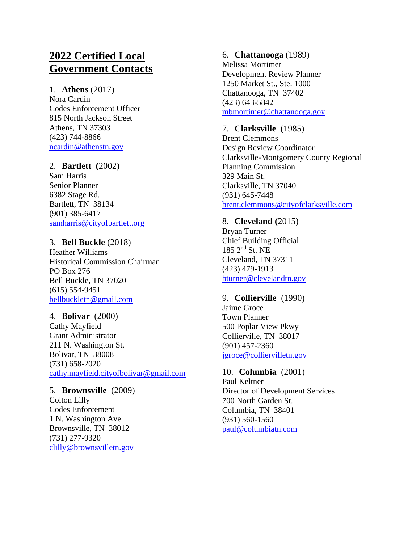# **2022 Certified Local Government Contacts**

#### 1. **Athens** (2017)

Nora Cardin Codes Enforcement Officer 815 North Jackson Street Athens, TN 37303 (423) 744-8866 [ncardin@athenstn.gov](mailto:ncardin@athenstn.gov)

# 2. **Bartlett (**2002)

Sam Harris Senior Planner 6382 Stage Rd. Bartlett, TN 38134 (901) 385-6417 [samharris@cityofbartlett.org](mailto:samharris@cityofbartlett.org)

# 3. **Bell Buckle** (2018)

Heather Williams Historical Commission Chairman PO Box 276 Bell Buckle, TN 37020 (615) 554-9451 [bellbuckletn@gmail.com](mailto:bellbuckletn@gmail.com)

# 4. **Bolivar** (2000)

Cathy Mayfield Grant Administrator 211 N. Washington St. Bolivar, TN 38008 (731) 658-2020 [cathy.mayfield.cityofbolivar@gmail.com](mailto:cathy.mayfield.cityofbolivar@gmail.com)

# 5. **Brownsville** (2009)

Colton Lilly Codes Enforcement 1 N. Washington Ave. Brownsville, TN 38012 (731) 277-9320 [clilly@brownsvilletn.gov](mailto:clilly@brownsvilletn.gov)

# 6. **Chattanooga** (1989)

Melissa Mortimer Development Review Planner 1250 Market St., Ste. 1000 Chattanooga, TN 37402 (423) 643-5842 [mbmortimer@chattanooga.gov](mailto:mbmortimer@chattanooga.gov)

# 7. **Clarksville** (1985)

Brent Clemmons Design Review Coordinator Clarksville-Montgomery County Regional Planning Commission 329 Main St. Clarksville, TN 37040 (931) 645-7448 [brent.clemmons@cityofclarksville.com](mailto:brent.clemmons@cityofclarksville.com)

# 8. **Cleveland (**2015)

Bryan Turner Chief Building Official 185 2nd St. NE Cleveland, TN 37311 (423) 479-1913 [bturner@clevelandtn.gov](mailto:bturner@clevelandtn.gov)

# 9. **Collierville** (1990)

Jaime Groce Town Planner 500 Poplar View Pkwy Collierville, TN 38017 (901) 457-2360 [jgroce@colliervilletn.gov](mailto:jgroce@colliervilletn.gov)

# 10. **Columbia** (2001)

Paul Keltner Director of Development Services 700 North Garden St. Columbia, TN 38401 (931) 560-1560 [paul@columbiatn.com](mailto:paul@columbiatn.com)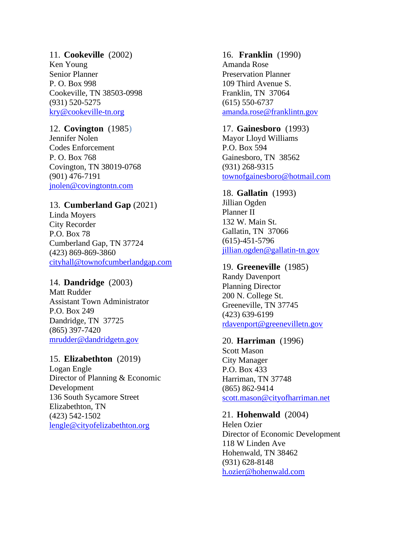# 11. **Cookeville** (2002) Ken Young Senior Planner P. O. Box 998 Cookeville, TN 38503-0998 (931) 520-5275 [kry@cookeville-tn.org](mailto:kry@cookeville-tn.org)

# 12. **Covington** (1985)

Jennifer Nolen Codes Enforcement P. O. Box 768 Covington, TN 38019-0768 (901) 476-7191 [jnolen@covingtontn.com](mailto:lfisher@covingtontn.com)

# 13. **Cumberland Gap** (2021)

Linda Moyers City Recorder P.O. Box 78 Cumberland Gap, TN 37724 (423) 869-869-3860 [cityhall@townofcumberlandgap.com](mailto:cityhall@townofcumberlandgap.com)

# 14. **Dandridge** (2003)

Matt Rudder Assistant Town Administrator P.O. Box 249 Dandridge, TN 37725 (865) 397-7420 [mrudder@dandridgetn.gov](mailto:rdjarnagin@bellsouth.net)

# 15. **Elizabethton** (2019)

Logan Engle Director of Planning & Economic Development 136 South Sycamore Street Elizabethton, TN (423) 542-1502 [lengle@cityofelizabethton.org](mailto:lengle@cityofelizabethton.org)

# 16. **Franklin** (1990)

Amanda Rose Preservation Planner 109 Third Avenue S. Franklin, TN 37064 (615) 550-6737 [amanda.rose@franklintn.gov](mailto:amanda.rose@franklintn.gov)

# 17. **Gainesboro** (1993)

Mayor Lloyd Williams P.O. Box 594 Gainesboro, TN 38562 (931) 268-9315 [townofgainesboro@hotmail.com](mailto:townofgainesboro@hotmail.com)

# 18. **Gallatin** (1993)

Jillian Ogden Planner II 132 W. Main St. Gallatin, TN 37066 (615)-451-5796 [jillian.ogden@gallatin-tn.gov](mailto:kevin.chastine@gallatin-tn.gov)

# 19. **Greeneville** (1985)

Randy Davenport Planning Director 200 N. College St. Greeneville, TN 37745 (423) 639-6199 [rdavenport@greenevilletn.gov](mailto:rdavenport@greenevilletn.gov)

# 20. **Harriman** (1996)

Scott Mason City Manager P.O. Box 433 Harriman, TN 37748 (865) 862-9414 [scott.mason@cityofharriman.net](mailto:scott.mason@cityofharriman.net)

# 21. **Hohenwald** (2004)

Helen Ozier Director of Economic Development 118 W Linden Ave Hohenwald, TN 38462 (931) 628-8148 [h.ozier@hohenwald.com](mailto:tonyturnbow@bellsouth.net)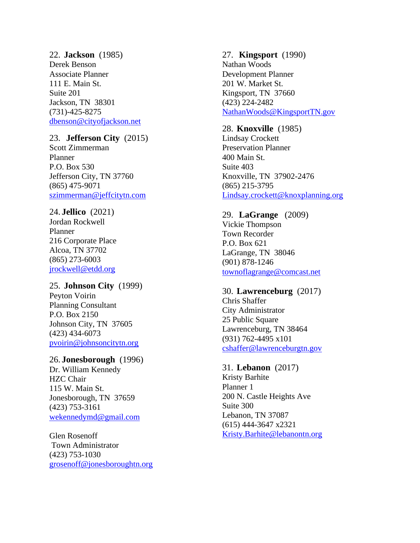22. **Jackson** (1985) Derek Benson Associate Planner 111 E. Main St. Suite 201 Jackson, TN 38301 (731) -425 -8275 [dbenson@cityofjackson.net](mailto:dbenson@cityofjackson.net)

# 23. **Jefferson City** (2015)

Scott Zimmerman Planner P.O. Box 530 Jefferson City, TN 37760 (865) 475 -9071 [szimmerman@jeffcitytn.com](mailto:szimmerman@jeffcitytn.com)

#### 24. **Jellico** (2021)

Jordan Rockwell Planner 216 Corporate Place Alcoa, TN 37702 (865) 273 -6003 [jrockwell@etdd.org](mailto:jrockwell@etdd.org)

# 25. **Johnson City** (1999)

Peyton Voirin Planning Consultant P.O. Box 2150 Johnson City, TN 37605 (423) 434 -6073 [pvoirin@johnsoncitytn.org](mailto:pvoirin@johnsoncitytn.org)

#### 26. **Jonesborough** (1996)

Dr. William Kennedy HZC Chair 115 W. Main St. Jonesborough, TN 37659 (423) 753 -3161 [wekennedymd@gmail.com](mailto:wekennedymd@gmail.com)

Glen Rosenoff Town Administrator (423) 753 -103 0 [grosenoff@jonesboroughtn.org](mailto:grosenoff@jonesboroughtn.org)

#### 27. **Kingsport** (1990)

Nathan Woods Development Planner 201 W. Market St. Kingsport, TN 37660 (423) 224 -2482 [NathanWoods@KingsportTN.gov](mailto:NathanWoods@KingsportTN.gov)

## 28. **Knoxville** (1985)

Lindsay Crockett Preservation Planner 400 Main St. Suite 403 Knoxville, TN 37902 -2476 (865) 215 -3795 [Lindsay.crockett@knoxplanning.org](mailto:Lindsay.crockett@knoxplanning.org)

#### 29. **LaGrange** (2009)

Vickie Thompson Town Recorder P.O. Box 621 LaGrange, TN 38046 (901) 878 -1246 [townoflagrange@comcast.net](mailto:townoflagrange@comcast.net)

#### 30. **Lawrenceburg** (2017) Chris Shaffer

City Administrator 25 Public Square Lawrenceburg, TN 38464 (931) 762 -4495 x101 [cshaffer@lawrenceburgtn.gov](mailto:cshaffer@lawrenceburgtn.gov)

#### 31. **Lebanon** (2017)

Kristy Barhite Planner 1 200 N. Castle Heights Ave Suite 300 Lebanon, TN 37087 (615) 444 -3647 x2321 [Kristy.Barhite@lebanontn.org](mailto:Kristy.Barhite@lebanontn.org)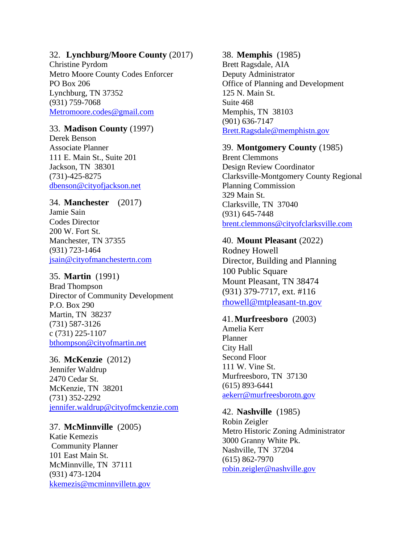# 32. **Lynchburg/Moore County** (2017)

Christine Pyrdom Metro Moore County Codes Enforcer PO Box 206 Lynchburg, TN 37352 (931) 759-7068 [Metromoore.codes@gmail.com](mailto:Metromoore.codes@gmail.com)

# 33. **Madison County** (1997)

Derek Benson Associate Planner 111 E. Main St., Suite 201 Jackson, TN 38301 (731)-425-8275 [dbenson@cityofjackson.net](mailto:jjacobs@cityofjackson.net)

#### 34. **Manchester** (2017)

Jamie Sain Codes Director 200 W. Fort St. Manchester, TN 37355 (931) 723-1464 [jsain@cityofmanchestertn.com](mailto:jsain@cityofmanchestertn.com)

# 35. **Martin** (1991)

Brad Thompson Director of Community Development P.O. Box 290 Martin, TN 38237 (731) 587-3126 c (731) 225-1107 [bthompson@cityofmartin.net](mailto:billystout55@netscape.net)

# 36. **McKenzie** (2012)

Jennifer Waldrup 2470 Cedar St. McKenzie, TN 38201 (731) 352-2292 [jennifer.waldrup@cityofmckenzie.com](mailto:jennifer.waldrup@cityofmckenzie.com)

# 37. **McMinnville** (2005)

Katie Kemezis Community Planner 101 East Main St. McMinnville, TN 37111 (931) 473-1204 [kkemezis@mcminnvilletn.gov](mailto:kkemezis@mcminnvilletn.gov)

### 38. **Memphis** (1985)

Brett Ragsdale, AIA Deputy Administrator Office of Planning and Development 125 N. Main St. Suite 468 Memphis, TN 38103 (901) 636-7147 [Brett.Ragsdale@memphistn.gov](mailto:Brett.Ragsdale@memphistn.gov)

# 39. **Montgomery County** (1985)

Brent Clemmons Design Review Coordinator Clarksville-Montgomery County Regional Planning Commission 329 Main St. Clarksville, TN 37040 (931) 645-7448 [brent.clemmons@cityofclarksville.com](mailto:brent.clemmons@cityofclarksville.com)

# 40. **Mount Pleasant** (2022)

Rodney Howell Director, Building and Planning 100 Public Square Mount Pleasant, TN 38474 (931) 379-7717, ext. #116 [rhowell@mtpleasant-tn.gov](mailto:rhowell@mtpleasant-tn.gov)

#### 41.**Murfreesboro** (2003)

Amelia Kerr Planner City Hall Second Floor 111 W. Vine St. Murfreesboro, TN 37130 (615) 893-6441 [aekerr@murfreesborotn.gov](mailto:aekerr@murfreesborotn.gov)

# 42. **Nashville** (1985)

Robin Zeigler Metro Historic Zoning Administrator 3000 Granny White Pk. Nashville, TN 37204 (615) 862-7970 [robin.zeigler@nashville.gov](mailto:robin.zeigler@nashville.gov)